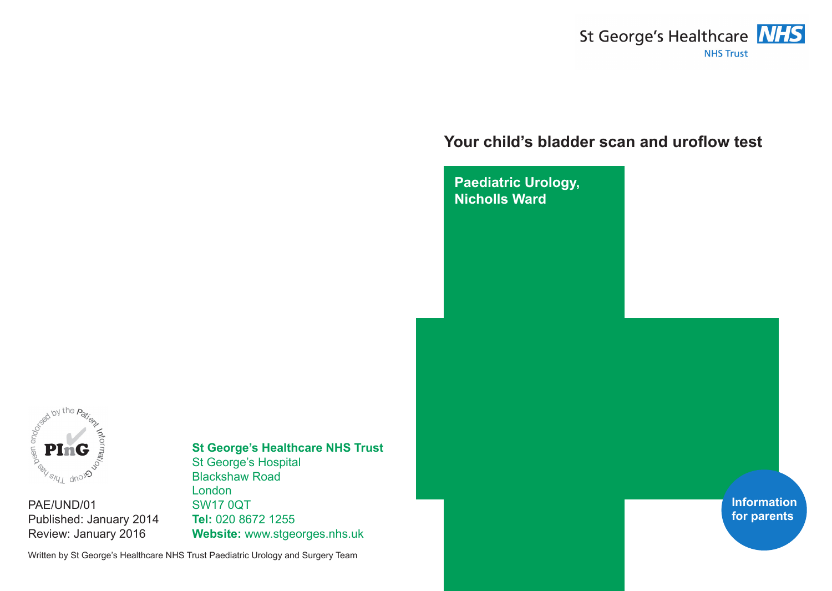

# **Your child's bladder scan and uroflow test**

**Paediatric Urology, Nicholls Ward**



PAE/UND/01 Published: January 2014 Review: January 2016

# **St George's Healthcare NHS Trust**

St George's Hospital Blackshaw Road London SW17 0QT **Tel:** 020 8672 1255 **Website:** www.stgeorges.nhs.uk

Written by St George's Healthcare NHS Trust Paediatric Urology and Surgery Team

**Information for parents**